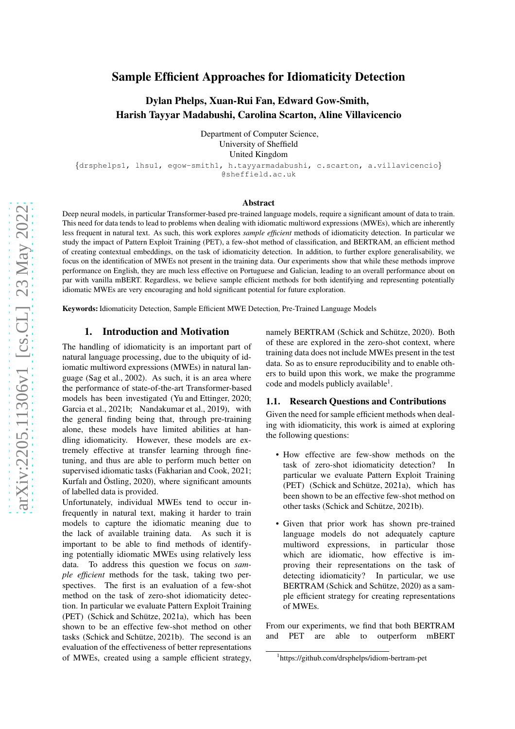# Sample Efficient Approaches for Idiomaticity Detection

# Dylan Phelps, Xuan-Rui Fan, Edward Gow-Smith, Harish Tayyar Madabushi, Carolina Scarton, Aline Villavicencio

Department of Computer Science, University of Sheffield United Kingdom

{drsphelps1, lhsu1, egow-smith1, h.tayyarmadabushi, c.scarton, a.villavicencio} @sheffield.ac.uk

#### Abstract

Deep neural models, in particular Transformer-based pre-trained language models, require a significant amount of data to train. This need for data tends to lead to problems when dealing with idiomatic multiword expressions (MWEs), which are inherently less frequent in natural text. As such, this work explores *sample efficient* methods of idiomaticity detection. In particular we study the impact of Pattern Exploit Training (PET), a few-shot method of classification, and BERTRAM, an efficient method of creating contextual embeddings, on the task of idiomaticity detection. In addition, to further explore generalisability, we focus on the identification of MWEs not present in the training data. Our experiments show that while these methods improve performance on English, they are much less effective on Portuguese and Galician, leading to an overall performance about on par with vanilla mBERT. Regardless, we believe sample efficient methods for both identifying and representing potentially idiomatic MWEs are very encouraging and hold significant potential for future exploration.

Keywords: Idiomaticity Detection, Sample Efficient MWE Detection, Pre-Trained Language Models

### 1. Introduction and Motivation

The handling of idiomaticity is an important part of natural language processing, due to the ubiquity of idiomatic multiword expressions (MWEs) in natural language [\(Sag et al., 2002\)](#page-5-0). As such, it is an area where the performance of state-of-the-art Transformer-based models has been investigated [\(Yu and Ettinger, 2020;](#page-6-0) [Garcia et al., 2021b;](#page-5-1) [Nandakumar et al., 2019\)](#page-5-2), with the general finding being that, through pre-training alone, these models have limited abilities at handling idiomaticity. However, these models are extremely effective at transfer learning through finetuning, and thus are able to perform much better on supervised idiomatic tasks [\(Fakharian and Cook, 2021;](#page-5-3) Kurfalı and Östling,  $2020$ ), where significant amounts of labelled data is provided.

Unfortunately, individual MWEs tend to occur infrequently in natural text, making it harder to train models to capture the idiomatic meaning due to the lack of available training data. As such it is important to be able to find methods of identifying potentially idiomatic MWEs using relatively less data. To address this question we focus on *sample efficient* methods for the task, taking two perspectives. The first is an evaluation of a few-shot method on the task of zero-shot idiomaticity detection. In particular we evaluate Pattern Exploit Training  $(PET)$  (Schick and Schütze, 2021a), which has been shown to be an effective few-shot method on other tasks (Schick and Schütze, 2021b). The second is an evaluation of the effectiveness of better representations of MWEs, created using a sample efficient strategy,

namely BERTRAM (Schick and Schütze, 2020). Both of these are explored in the zero-shot context, where training data does not include MWEs present in the test data. So as to ensure reproducibility and to enable others to build upon this work, we make the programme code and models publicly available<sup>[1](#page-0-0)</sup>.

### 1.1. Research Questions and Contributions

Given the need for sample efficient methods when dealing with idiomaticity, this work is aimed at exploring the following questions:

- How effective are few-show methods on the task of zero-shot idiomaticity detection? In particular we evaluate Pattern Exploit Training  $(PET)$  (Schick and Schütze, 2021a), which has been shown to be an effective few-shot method on other tasks (Schick and Schütze, 2021b).
- Given that prior work has shown pre-trained language models do not adequately capture multiword expressions, in particular those which are idiomatic, how effective is improving their representations on the task of detecting idiomaticity? In particular, we use BERTRAM (Schick and Schütze, 2020) as a sample efficient strategy for creating representations of MWEs.

From our experiments, we find that both BERTRAM and PET are able to outperform mBERT

<span id="page-0-0"></span><sup>1</sup> <https://github.com/drsphelps/idiom-bertram-pet>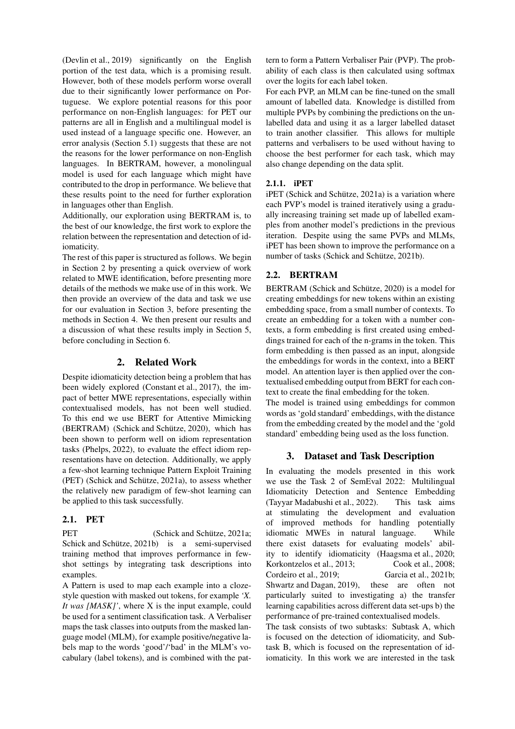[\(Devlin et al., 2019\)](#page-5-8) significantly on the English portion of the test data, which is a promising result. However, both of these models perform worse overall due to their significantly lower performance on Portuguese. We explore potential reasons for this poor performance on non-English languages: for PET our patterns are all in English and a multilingual model is used instead of a language specific one. However, an error analysis (Section [5.1\)](#page-4-0) suggests that these are not the reasons for the lower performance on non-English languages. In BERTRAM, however, a monolingual model is used for each language which might have contributed to the drop in performance. We believe that these results point to the need for further exploration in languages other than English.

Additionally, our exploration using BERTRAM is, to the best of our knowledge, the first work to explore the relation between the representation and detection of idiomaticity.

The rest of this paper is structured as follows. We begin in Section [2](#page-1-0) by presenting a quick overview of work related to MWE identification, before presenting more details of the methods we make use of in this work. We then provide an overview of the data and task we use for our evaluation in Section [3,](#page-1-1) before presenting the methods in Section [4.](#page-2-0) We then present our results and a discussion of what these results imply in Section [5,](#page-4-1) before concluding in Section [6.](#page-4-2)

## 2. Related Work

<span id="page-1-0"></span>Despite idiomaticity detection being a problem that has been widely explored [\(Constant et al., 2017\)](#page-5-9), the impact of better MWE representations, especially within contextualised models, has not been well studied. To this end we use BERT for Attentive Mimicking (BERTRAM) (Schick and Schütze, 2020), which has been shown to perform well on idiom representation tasks [\(Phelps, 2022\)](#page-5-10), to evaluate the effect idiom representations have on detection. Additionally, we apply a few-shot learning technique Pattern Exploit Training  $(PET)$  (Schick and Schütze, 2021a), to assess whether the relatively new paradigm of few-shot learning can be applied to this task successfully.

## 2.1. PET

PET (Schick and Schütze, 2021a; Schick and Schütze,  $2021b$  is a semi-supervised training method that improves performance in fewshot settings by integrating task descriptions into examples.

A Pattern is used to map each example into a clozestyle question with masked out tokens, for example *'X. It was [MASK]'*, where X is the input example, could be used for a sentiment classification task. A Verbaliser maps the task classes into outputs from the masked language model (MLM), for example positive/negative labels map to the words 'good'/'bad' in the MLM's vocabulary (label tokens), and is combined with the pattern to form a Pattern Verbaliser Pair (PVP). The probability of each class is then calculated using softmax over the logits for each label token.

For each PVP, an MLM can be fine-tuned on the small amount of labelled data. Knowledge is distilled from multiple PVPs by combining the predictions on the unlabelled data and using it as a larger labelled dataset to train another classifier. This allows for multiple patterns and verbalisers to be used without having to choose the best performer for each task, which may also change depending on the data split.

## 2.1.1. iPET

 $i$ PET (Schick and Schütze, 2021a) is a variation where each PVP's model is trained iteratively using a gradually increasing training set made up of labelled examples from another model's predictions in the previous iteration. Despite using the same PVPs and MLMs, iPET has been shown to improve the performance on a number of tasks (Schick and Schütze, 2021b).

## 2.2. BERTRAM

BERTRAM (Schick and Schütze, 2020) is a model for creating embeddings for new tokens within an existing embedding space, from a small number of contexts. To create an embedding for a token with a number contexts, a form embedding is first created using embeddings trained for each of the n-grams in the token. This form embedding is then passed as an input, alongside the embeddings for words in the context, into a BERT model. An attention layer is then applied over the contextualised embedding output from BERT for each context to create the final embedding for the token.

The model is trained using embeddings for common words as 'gold standard' embeddings, with the distance from the embedding created by the model and the 'gold standard' embedding being used as the loss function.

## <span id="page-1-1"></span>3. Dataset and Task Description

In evaluating the models presented in this work we use the Task 2 of SemEval 2022: Multilingual Idiomaticity Detection and Sentence Embedding [\(Tayyar Madabushi et al., 2022\)](#page-6-1). This task aims at stimulating the development and evaluation of improved methods for handling potentially idiomatic MWEs in natural language. While there exist datasets for evaluating models' ability to identify idiomaticity [\(Haagsma et al., 2020;](#page-5-11) [Korkontzelos et al., 2013;](#page-5-12) [Cook et al., 2008;](#page-5-13) [Cordeiro et al., 2019;](#page-5-14) [Garcia et al., 2021b;](#page-5-1) [Shwartz and Dagan, 2019\)](#page-5-15), these are often not particularly suited to investigating a) the transfer learning capabilities across different data set-ups b) the performance of pre-trained contextualised models.

The task consists of two subtasks: Subtask A, which is focused on the detection of idiomaticity, and Subtask B, which is focused on the representation of idiomaticity. In this work we are interested in the task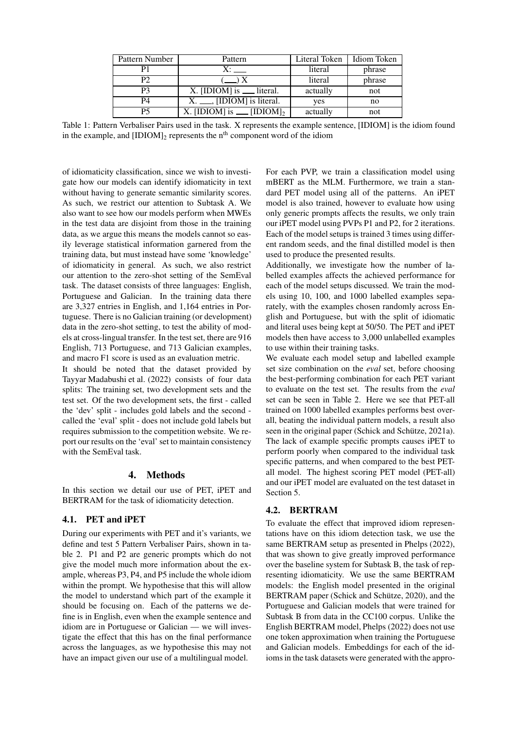| Pattern Number | Pattern                                | Literal Token | Idiom Token |  |
|----------------|----------------------------------------|---------------|-------------|--|
|                |                                        | literal       | phrase      |  |
| P <sub>2</sub> | $\left(\frac{1}{2}\right)X$            | literal       | phrase      |  |
| P3             | $X.$ [IDIOM] is $\_\_$ literal.        | actually      | not         |  |
| P4             | $X_{t}$ $\ldots$ , [IDIOM] is literal. | yes           | no          |  |
| P5             | X. [IDIOM] is ___ [IDIOM] <sub>2</sub> | actually      | not         |  |

Table 1: Pattern Verbaliser Pairs used in the task. X represents the example sentence, [IDIOM] is the idiom found in the example, and  $[IDIOM]_2$  represents the n<sup>th</sup> component word of the idiom

of idiomaticity classification, since we wish to investigate how our models can identify idiomaticity in text without having to generate semantic similarity scores. As such, we restrict our attention to Subtask A. We also want to see how our models perform when MWEs in the test data are disjoint from those in the training data, as we argue this means the models cannot so easily leverage statistical information garnered from the training data, but must instead have some 'knowledge' of idiomaticity in general. As such, we also restrict our attention to the zero-shot setting of the SemEval task. The dataset consists of three languages: English, Portuguese and Galician. In the training data there are 3,327 entries in English, and 1,164 entries in Portuguese. There is no Galician training (or development) data in the zero-shot setting, to test the ability of models at cross-lingual transfer. In the test set, there are 916 English, 713 Portuguese, and 713 Galician examples, and macro F1 score is used as an evaluation metric.

It should be noted that the dataset provided by [Tayyar Madabushi et al. \(2022\)](#page-6-1) consists of four data splits: The training set, two development sets and the test set. Of the two development sets, the first - called the 'dev' split - includes gold labels and the second called the 'eval' split - does not include gold labels but requires submission to the competition website. We report our results on the 'eval' set to maintain consistency with the SemEval task.

### 4. Methods

<span id="page-2-0"></span>In this section we detail our use of PET, iPET and BERTRAM for the task of idiomaticity detection.

## 4.1. PET and iPET

During our experiments with PET and it's variants, we define and test 5 Pattern Verbaliser Pairs, shown in table [2.](#page-1-0) P1 and P2 are generic prompts which do not give the model much more information about the example, whereas P3, P4, and P5 include the whole idiom within the prompt. We hypothesise that this will allow the model to understand which part of the example it should be focusing on. Each of the patterns we define is in English, even when the example sentence and idiom are in Portuguese or Galician — we will investigate the effect that this has on the final performance across the languages, as we hypothesise this may not have an impact given our use of a multilingual model.

For each PVP, we train a classification model using mBERT as the MLM. Furthermore, we train a standard PET model using all of the patterns. An iPET model is also trained, however to evaluate how using only generic prompts affects the results, we only train our iPET model using PVPs P1 and P2, for 2 iterations. Each of the model setups is trained 3 times using different random seeds, and the final distilled model is then used to produce the presented results.

Additionally, we investigate how the number of labelled examples affects the achieved performance for each of the model setups discussed. We train the models using 10, 100, and 1000 labelled examples separately, with the examples chosen randomly across English and Portuguese, but with the split of idiomatic and literal uses being kept at 50/50. The PET and iPET models then have access to 3,000 unlabelled examples to use within their training tasks.

We evaluate each model setup and labelled example set size combination on the *eval* set, before choosing the best-performing combination for each PET variant to evaluate on the test set. The results from the *eval* set can be seen in Table [2.](#page-3-0) Here we see that PET-all trained on 1000 labelled examples performs best overall, beating the individual pattern models, a result also seen in the original paper (Schick and Schütze, 2021a). The lack of example specific prompts causes iPET to perform poorly when compared to the individual task specific patterns, and when compared to the best PETall model. The highest scoring PET model (PET-all) and our iPET model are evaluated on the test dataset in Section [5.](#page-4-1)

## 4.2. BERTRAM

To evaluate the effect that improved idiom representations have on this idiom detection task, we use the same BERTRAM setup as presented in [Phelps \(2022\)](#page-5-10), that was shown to give greatly improved performance over the baseline system for Subtask B, the task of representing idiomaticity. We use the same BERTRAM models: the English model presented in the original BERTRAM paper (Schick and Schütze, 2020), and the Portuguese and Galician models that were trained for Subtask B from data in the CC100 corpus. Unlike the English BERTRAM model, [Phelps \(2022\)](#page-5-10) does not use one token approximation when training the Portuguese and Galician models. Embeddings for each of the idioms in the task datasets were generated with the appro-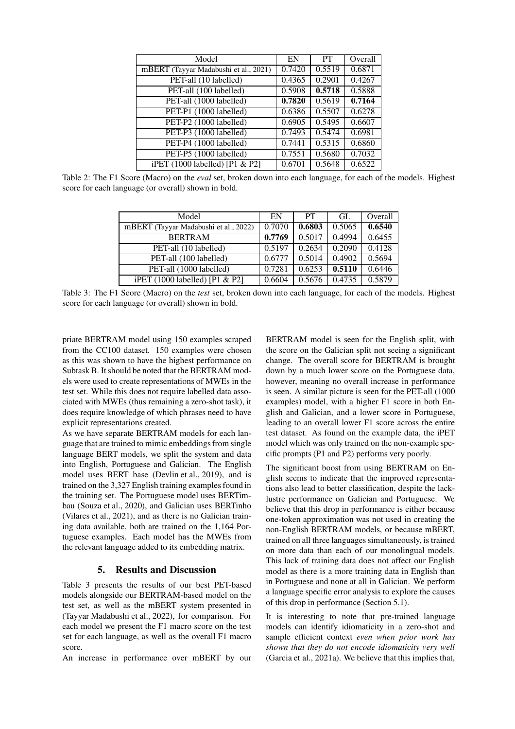| Model                                 | EN     | <b>PT</b> | Overall |
|---------------------------------------|--------|-----------|---------|
| mBERT (Tayyar Madabushi et al., 2021) | 0.7420 | 0.5519    | 0.6871  |
| PET-all (10 labelled)                 | 0.4365 | 0.2901    | 0.4267  |
| PET-all (100 labelled)                | 0.5908 | 0.5718    | 0.5888  |
| PET-all (1000 labelled)               | 0.7820 | 0.5619    | 0.7164  |
| PET-P1 (1000 labelled)                | 0.6386 | 0.5507    | 0.6278  |
| PET-P2 (1000 labelled)                | 0.6905 | 0.5495    | 0.6607  |
| PET-P3 (1000 labelled)                | 0.7493 | 0.5474    | 0.6981  |
| PET-P4 (1000 labelled)                | 0.7441 | 0.5315    | 0.6860  |
| PET-P5 (1000 labelled)                | 0.7551 | 0.5680    | 0.7032  |
| iPET (1000 labelled) [P1 & P2]        | 0.6701 | 0.5648    | 0.6522  |

<span id="page-3-0"></span>Table 2: The F1 Score (Macro) on the *eval* set, broken down into each language, for each of the models. Highest score for each language (or overall) shown in bold.

| Model                                 | EN     | <b>PT</b> | GL.    | Overall |
|---------------------------------------|--------|-----------|--------|---------|
| mBERT (Tayyar Madabushi et al., 2022) | 0.7070 | 0.6803    | 0.5065 | 0.6540  |
| <b>BERTRAM</b>                        | 0.7769 | 0.5017    | 0.4994 | 0.6455  |
| PET-all (10 labelled)                 | 0.5197 | 0.2634    | 0.2090 | 0.4128  |
| PET-all (100 labelled)                | 0.6777 | 0.5014    | 0.4902 | 0.5694  |
| PET-all (1000 labelled)               | 0.7281 | 0.6253    | 0.5110 | 0.6446  |
| iPET $(1000$ labelled) [P1 & P2]      | 0.6604 | 0.5676    | 0.4735 | 0.5879  |

<span id="page-3-1"></span>Table 3: The F1 Score (Macro) on the *test* set, broken down into each language, for each of the models. Highest score for each language (or overall) shown in bold.

priate BERTRAM model using 150 examples scraped from the CC100 dataset. 150 examples were chosen as this was shown to have the highest performance on Subtask B. It should be noted that the BERTRAM models were used to create representations of MWEs in the test set. While this does not require labelled data associated with MWEs (thus remaining a zero-shot task), it does require knowledge of which phrases need to have explicit representations created.

As we have separate BERTRAM models for each language that are trained to mimic embeddings from single language BERT models, we split the system and data into English, Portuguese and Galician. The English model uses BERT base [\(Devlin et al., 2019\)](#page-5-8), and is trained on the 3,327 English training examples found in the training set. The Portuguese model uses BERTimbau [\(Souza et al., 2020\)](#page-5-17), and Galician uses BERTinho [\(Vilares et al., 2021\)](#page-6-2), and as there is no Galician training data available, both are trained on the 1,164 Portuguese examples. Each model has the MWEs from the relevant language added to its embedding matrix.

## 5. Results and Discussion

Table [3](#page-3-1) presents the results of our best PET-based models alongside our BERTRAM-based model on the test set, as well as the mBERT system presented in [\(Tayyar Madabushi et al., 2022\)](#page-6-1), for comparison. For each model we present the F1 macro score on the test set for each language, as well as the overall F1 macro score.

An increase in performance over mBERT by our

BERTRAM model is seen for the English split, with the score on the Galician split not seeing a significant change. The overall score for BERTRAM is brought down by a much lower score on the Portuguese data, however, meaning no overall increase in performance is seen. A similar picture is seen for the PET-all (1000 examples) model, with a higher F1 score in both English and Galician, and a lower score in Portuguese, leading to an overall lower F1 score across the entire test dataset. As found on the example data, the iPET model which was only trained on the non-example specific prompts (P1 and P2) performs very poorly.

The significant boost from using BERTRAM on English seems to indicate that the improved representations also lead to better classification, despite the lacklustre performance on Galician and Portuguese. We believe that this drop in performance is either because one-token approximation was not used in creating the non-English BERTRAM models, or because mBERT, trained on all three languages simultaneously, is trained on more data than each of our monolingual models. This lack of training data does not affect our English model as there is a more training data in English than in Portuguese and none at all in Galician. We perform a language specific error analysis to explore the causes of this drop in performance (Section [5.1\)](#page-4-0).

It is interesting to note that pre-trained language models can identify idiomaticity in a zero-shot and sample efficient context *even when prior work has shown that they do not encode idiomaticity very well* [\(Garcia et al., 2021a\)](#page-5-18). We believe that this implies that,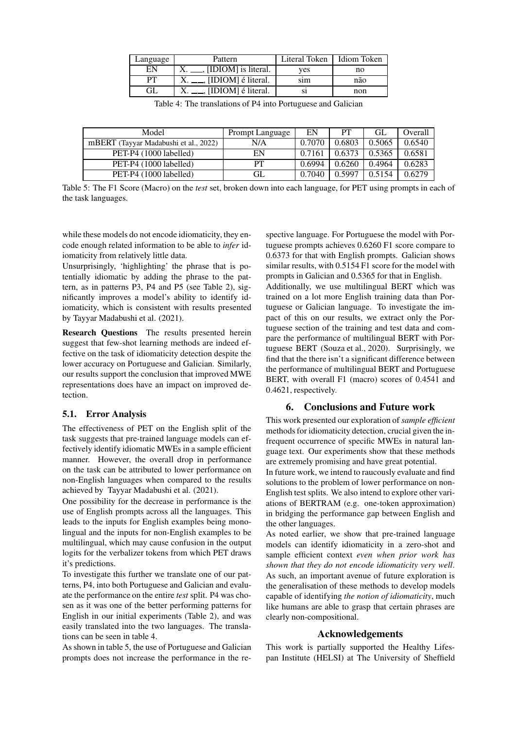| Language  | Pattern                                    | Literal Token | Idiom Token |  |
|-----------|--------------------------------------------|---------------|-------------|--|
| EN        | $X_{\cdot}$ $\ldots$ , [IDIOM] is literal. | ves           | no          |  |
| <b>PT</b> | $\frac{1}{2}$ , [IDIOM] é literal.         | sim           | não         |  |
| GL        | $X_{t}$ ___, [IDIOM] é literal.            |               | non         |  |

<span id="page-4-3"></span>Table 4: The translations of P4 into Portuguese and Galician

| Model                                 | Prompt Language | EN     | PТ     | GL     | Overall |
|---------------------------------------|-----------------|--------|--------|--------|---------|
| mBERT (Tayyar Madabushi et al., 2022) | N/A             | 0.7070 | 0.6803 | 0.5065 | 0.6540  |
| PET-P4 (1000 labelled)                | EΝ              | 0.7161 | 0.6373 | 0.5365 | 0.6581  |
| PET-P4 (1000 labelled)                | PТ              | 0.6994 | 0.6260 | 0.4964 | 0.6283  |
| PET-P4 (1000 labelled)                | GL              | 0.7040 | 0.5997 | 0.5154 | 0.6279  |

<span id="page-4-1"></span>Table 5: The F1 Score (Macro) on the *test* set, broken down into each language, for PET using prompts in each of the task languages.

while these models do not encode idiomaticity, they encode enough related information to be able to *infer* idiomaticity from relatively little data.

Unsurprisingly, 'highlighting' the phrase that is potentially idiomatic by adding the phrase to the pattern, as in patterns P3, P4 and P5 (see Table [2\)](#page-1-0), significantly improves a model's ability to identify idiomaticity, which is consistent with results presented by [Tayyar Madabushi et al. \(2021\)](#page-5-16).

Research Questions The results presented herein suggest that few-shot learning methods are indeed effective on the task of idiomaticity detection despite the lower accuracy on Portuguese and Galician. Similarly, our results support the conclusion that improved MWE representations does have an impact on improved detection.

### <span id="page-4-0"></span>5.1. Error Analysis

The effectiveness of PET on the English split of the task suggests that pre-trained language models can effectively identify idiomatic MWEs in a sample efficient manner. However, the overall drop in performance on the task can be attributed to lower performance on non-English languages when compared to the results achieved by [Tayyar Madabushi et al. \(2021\)](#page-5-16).

One possibility for the decrease in performance is the use of English prompts across all the languages. This leads to the inputs for English examples being monolingual and the inputs for non-English examples to be multilingual, which may cause confusion in the output logits for the verbalizer tokens from which PET draws it's predictions.

To investigate this further we translate one of our patterns, P4, into both Portuguese and Galician and evaluate the performance on the entire *test* split. P4 was chosen as it was one of the better performing patterns for English in our initial experiments (Table [2\)](#page-3-0), and was easily translated into the two languages. The translations can be seen in table [4.](#page-4-3)

As shown in table [5,](#page-4-1) the use of Portuguese and Galician prompts does not increase the performance in the re-

spective language. For Portuguese the model with Portuguese prompts achieves 0.6260 F1 score compare to 0.6373 for that with English prompts. Galician shows similar results, with 0.5154 F1 score for the model with prompts in Galician and 0.5365 for that in English. Additionally, we use multilingual BERT which was trained on a lot more English training data than Portuguese or Galician language. To investigate the impact of this on our results, we extract only the Portuguese section of the training and test data and compare the performance of multilingual BERT with Portuguese BERT [\(Souza et al., 2020\)](#page-5-17). Surprisingly, we find that the there isn't a significant difference between the performance of multilingual BERT and Portuguese BERT, with overall F1 (macro) scores of 0.4541 and 0.4621, respectively.

### <span id="page-4-2"></span>6. Conclusions and Future work

This work presented our exploration of *sample efficient* methods for idiomaticity detection, crucial given the infrequent occurrence of specific MWEs in natural language text. Our experiments show that these methods are extremely promising and have great potential.

In future work, we intend to raucously evaluate and find solutions to the problem of lower performance on non-English test splits. We also intend to explore other variations of BERTRAM (e.g. one-token approximation) in bridging the performance gap between English and the other languages.

As noted earlier, we show that pre-trained language models can identify idiomaticity in a zero-shot and sample efficient context *even when prior work has shown that they do not encode idiomaticity very well*. As such, an important avenue of future exploration is the generalisation of these methods to develop models capable of identifying *the notion of idiomaticity*, much like humans are able to grasp that certain phrases are clearly non-compositional.

### Acknowledgements

This work is partially supported the Healthy Lifespan Institute (HELSI) at The University of Sheffield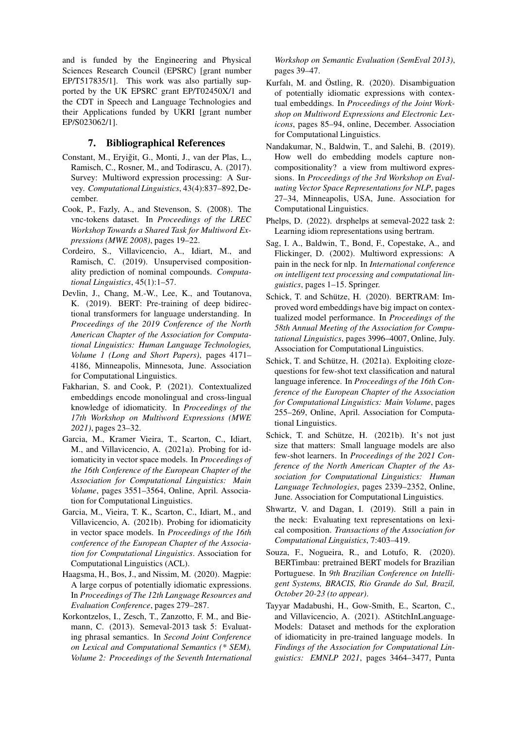and is funded by the Engineering and Physical Sciences Research Council (EPSRC) [grant number EP/T517835/1]. This work was also partially supported by the UK EPSRC grant EP/T02450X/1 and the CDT in Speech and Language Technologies and their Applications funded by UKRI [grant number EP/S023062/1].

### 7. Bibliographical References

- <span id="page-5-9"></span>Constant, M., Erviğit, G., Monti, J., van der Plas, L., Ramisch, C., Rosner, M., and Todirascu, A. (2017). Survey: Multiword expression processing: A Survey. *Computational Linguistics*, 43(4):837–892, December.
- <span id="page-5-13"></span>Cook, P., Fazly, A., and Stevenson, S. (2008). The vnc-tokens dataset. In *Proceedings of the LREC Workshop Towards a Shared Task for Multiword Expressions (MWE 2008)*, pages 19–22.
- <span id="page-5-14"></span>Cordeiro, S., Villavicencio, A., Idiart, M., and Ramisch, C. (2019). Unsupervised compositionality prediction of nominal compounds. *Computational Linguistics*, 45(1):1–57.
- <span id="page-5-8"></span>Devlin, J., Chang, M.-W., Lee, K., and Toutanova, K. (2019). BERT: Pre-training of deep bidirectional transformers for language understanding. In *Proceedings of the 2019 Conference of the North American Chapter of the Association for Computational Linguistics: Human Language Technologies, Volume 1 (Long and Short Papers)*, pages 4171– 4186, Minneapolis, Minnesota, June. Association for Computational Linguistics.
- <span id="page-5-3"></span>Fakharian, S. and Cook, P. (2021). Contextualized embeddings encode monolingual and cross-lingual knowledge of idiomaticity. In *Proceedings of the 17th Workshop on Multiword Expressions (MWE 2021)*, pages 23–32.
- <span id="page-5-18"></span>Garcia, M., Kramer Vieira, T., Scarton, C., Idiart, M., and Villavicencio, A. (2021a). Probing for idiomaticity in vector space models. In *Proceedings of the 16th Conference of the European Chapter of the Association for Computational Linguistics: Main Volume*, pages 3551–3564, Online, April. Association for Computational Linguistics.
- <span id="page-5-1"></span>Garcia, M., Vieira, T. K., Scarton, C., Idiart, M., and Villavicencio, A. (2021b). Probing for idiomaticity in vector space models. In *Proceedings of the 16th conference of the European Chapter of the Association for Computational Linguistics*. Association for Computational Linguistics (ACL).
- <span id="page-5-11"></span>Haagsma, H., Bos, J., and Nissim, M. (2020). Magpie: A large corpus of potentially idiomatic expressions. In *Proceedings of The 12th Language Resources and Evaluation Conference*, pages 279–287.
- <span id="page-5-12"></span>Korkontzelos, I., Zesch, T., Zanzotto, F. M., and Biemann, C. (2013). Semeval-2013 task 5: Evaluating phrasal semantics. In *Second Joint Conference on Lexical and Computational Semantics (\* SEM), Volume 2: Proceedings of the Seventh International*

*Workshop on Semantic Evaluation (SemEval 2013)*, pages 39–47.

- <span id="page-5-4"></span>Kurfalı, M. and Östling, R. (2020). Disambiguation of potentially idiomatic expressions with contextual embeddings. In *Proceedings of the Joint Workshop on Multiword Expressions and Electronic Lexicons*, pages 85–94, online, December. Association for Computational Linguistics.
- <span id="page-5-2"></span>Nandakumar, N., Baldwin, T., and Salehi, B. (2019). How well do embedding models capture noncompositionality? a view from multiword expressions. In *Proceedings of the 3rd Workshop on Evaluating Vector Space Representations for NLP*, pages 27–34, Minneapolis, USA, June. Association for Computational Linguistics.
- <span id="page-5-10"></span>Phelps, D. (2022). drsphelps at semeval-2022 task 2: Learning idiom representations using bertram.
- <span id="page-5-0"></span>Sag, I. A., Baldwin, T., Bond, F., Copestake, A., and Flickinger, D. (2002). Multiword expressions: A pain in the neck for nlp. In *International conference on intelligent text processing and computational linguistics*, pages 1–15. Springer.
- <span id="page-5-7"></span>Schick, T. and Schütze, H. (2020). BERTRAM: Improved word embeddings have big impact on contextualized model performance. In *Proceedings of the 58th Annual Meeting of the Association for Computational Linguistics*, pages 3996–4007, Online, July. Association for Computational Linguistics.
- <span id="page-5-5"></span>Schick, T. and Schütze, H. (2021a). Exploiting clozequestions for few-shot text classification and natural language inference. In *Proceedings of the 16th Conference of the European Chapter of the Association for Computational Linguistics: Main Volume*, pages 255–269, Online, April. Association for Computational Linguistics.
- <span id="page-5-6"></span>Schick, T. and Schütze, H. (2021b). It's not just size that matters: Small language models are also few-shot learners. In *Proceedings of the 2021 Conference of the North American Chapter of the Association for Computational Linguistics: Human Language Technologies*, pages 2339–2352, Online, June. Association for Computational Linguistics.
- <span id="page-5-15"></span>Shwartz, V. and Dagan, I. (2019). Still a pain in the neck: Evaluating text representations on lexical composition. *Transactions of the Association for Computational Linguistics*, 7:403–419.
- <span id="page-5-17"></span>Souza, F., Nogueira, R., and Lotufo, R. (2020). BERTimbau: pretrained BERT models for Brazilian Portuguese. In *9th Brazilian Conference on Intelligent Systems, BRACIS, Rio Grande do Sul, Brazil, October 20-23 (to appear)*.
- <span id="page-5-16"></span>Tayyar Madabushi, H., Gow-Smith, E., Scarton, C., and Villavicencio, A. (2021). AStitchInLanguage-Models: Dataset and methods for the exploration of idiomaticity in pre-trained language models. In *Findings of the Association for Computational Linguistics: EMNLP 2021*, pages 3464–3477, Punta